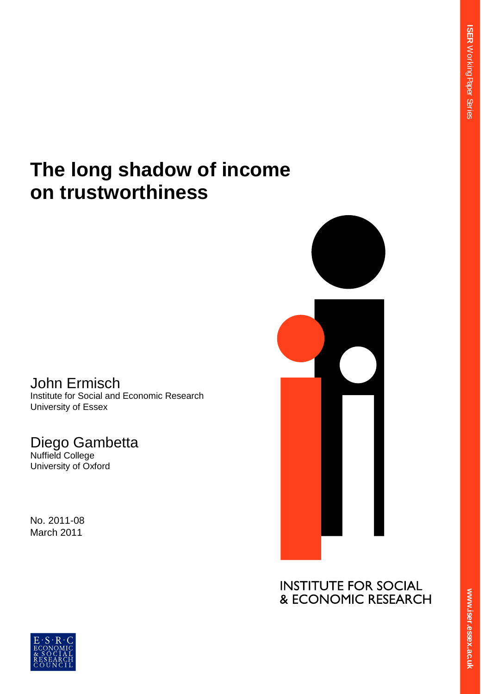**ER** 

Working Paper Series

# **The long shadow of income on trustworthiness**

John Ermisch Institute for Social and Economic Research University of Essex

# Diego Gambetta

Nuffield College University of Oxford

No. 2011-08 March 2011



**RESE ex.ac.uk**  $\overline{\mathbf{S}}$ **.**<br>.<br>. **er.essex.ac.uk**



**ww.iser.essex.ac.uk**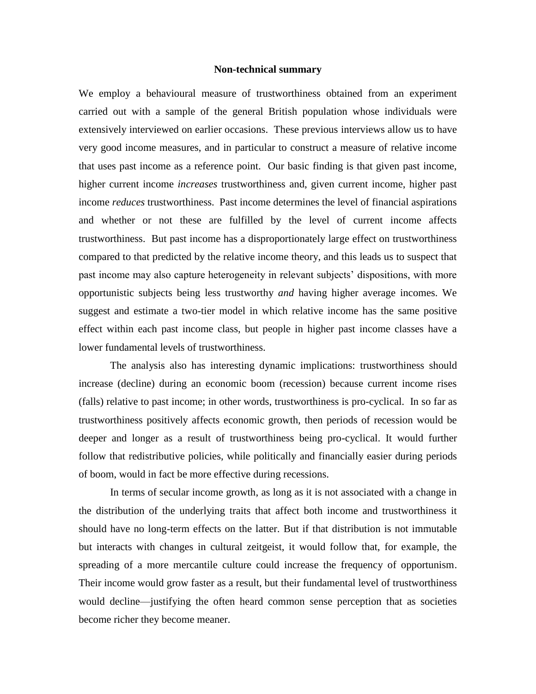#### **Non-technical summary**

We employ a behavioural measure of trustworthiness obtained from an experiment carried out with a sample of the general British population whose individuals were extensively interviewed on earlier occasions. These previous interviews allow us to have very good income measures, and in particular to construct a measure of relative income that uses past income as a reference point. Our basic finding is that given past income, higher current income *increases* trustworthiness and, given current income, higher past income *reduces* trustworthiness. Past income determines the level of financial aspirations and whether or not these are fulfilled by the level of current income affects trustworthiness. But past income has a disproportionately large effect on trustworthiness compared to that predicted by the relative income theory, and this leads us to suspect that past income may also capture heterogeneity in relevant subjects' dispositions, with more opportunistic subjects being less trustworthy *and* having higher average incomes. We suggest and estimate a two-tier model in which relative income has the same positive effect within each past income class, but people in higher past income classes have a lower fundamental levels of trustworthiness.

The analysis also has interesting dynamic implications: trustworthiness should increase (decline) during an economic boom (recession) because current income rises (falls) relative to past income; in other words, trustworthiness is pro-cyclical. In so far as trustworthiness positively affects economic growth, then periods of recession would be deeper and longer as a result of trustworthiness being pro-cyclical. It would further follow that redistributive policies, while politically and financially easier during periods of boom, would in fact be more effective during recessions.

In terms of secular income growth, as long as it is not associated with a change in the distribution of the underlying traits that affect both income and trustworthiness it should have no long-term effects on the latter. But if that distribution is not immutable but interacts with changes in cultural zeitgeist, it would follow that, for example, the spreading of a more mercantile culture could increase the frequency of opportunism. Their income would grow faster as a result, but their fundamental level of trustworthiness would decline—justifying the often heard common sense perception that as societies become richer they become meaner.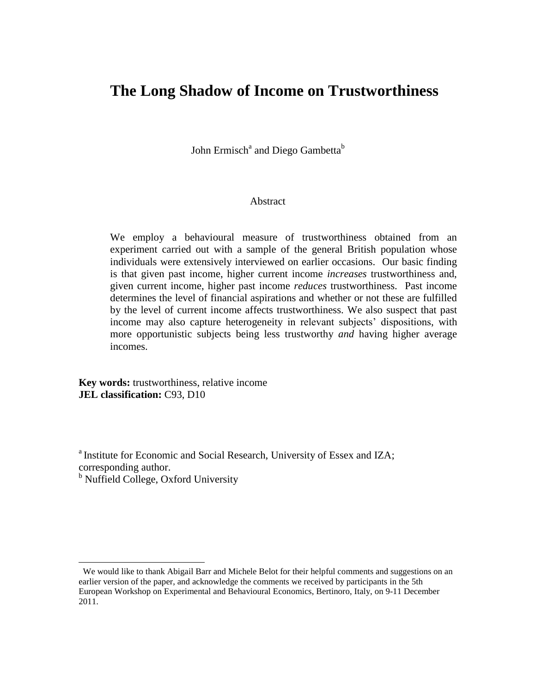# **The Long Shadow of Income on Trustworthiness<sup>1</sup>**

John Ermisch $^{\rm a}$  and Diego Gambetta $^{\rm b}$ 

#### Abstract

We employ a behavioural measure of trustworthiness obtained from an experiment carried out with a sample of the general British population whose individuals were extensively interviewed on earlier occasions. Our basic finding is that given past income, higher current income *increases* trustworthiness and, given current income, higher past income *reduces* trustworthiness. Past income determines the level of financial aspirations and whether or not these are fulfilled by the level of current income affects trustworthiness. We also suspect that past income may also capture heterogeneity in relevant subjects' dispositions, with more opportunistic subjects being less trustworthy *and* having higher average incomes.

**Key words:** trustworthiness, relative income **JEL classification:** C93, D10

<sup>a</sup> Institute for Economic and Social Research, University of Essex and IZA; corresponding author.

<sup>b</sup> Nuffield College, Oxford University

We would like to thank Abigail Barr and Michele Belot for their helpful comments and suggestions on an earlier version of the paper, and acknowledge the comments we received by participants in the 5th European Workshop on Experimental and Behavioural Economics, Bertinoro, Italy, on 9-11 December 2011.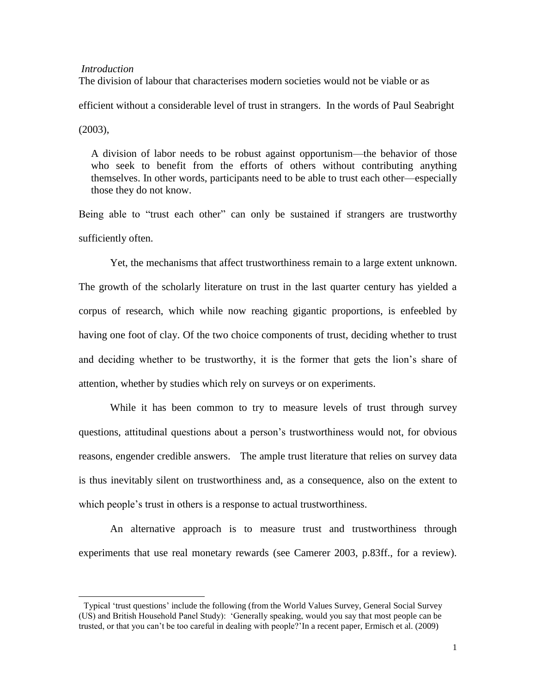#### *Introduction*

The division of labour that characterises modern societies would not be viable or as

efficient without a considerable level of trust in strangers. In the words of Paul Seabright

(2003),

l

A division of labor needs to be robust against opportunism—the behavior of those who seek to benefit from the efforts of others without contributing anything themselves. In other words, participants need to be able to trust each other—especially those they do not know.

Being able to "trust each other" can only be sustained if strangers are trustworthy sufficiently often.

Yet, the mechanisms that affect trustworthiness remain to a large extent unknown. The growth of the scholarly literature on trust in the last quarter century has yielded a corpus of research, which while now reaching gigantic proportions, is enfeebled by having one foot of clay. Of the two choice components of trust, deciding whether to trust and deciding whether to be trustworthy, it is the former that gets the lion's share of attention, whether by studies which rely on surveys or on experiments.

While it has been common to try to measure levels of trust through survey questions, attitudinal questions about a person's trustworthiness would not, for obvious reasons, engender credible answers. The ample trust literature that relies on survey data is thus inevitably silent on trustworthiness and, as a consequence, also on the extent to which people's trust in others is a response to actual trustworthiness.

An alternative approach is to measure trust and trustworthiness through experiments that use real monetary rewards (see Camerer 2003, p.83ff., for a review).

<sup>2</sup> Typical ‗trust questions' include the following (from the World Values Survey, General Social Survey (US) and British Household Panel Study): ‗Generally speaking, would you say that most people can be trusted, or that you can't be too careful in dealing with people?'In a recent paper, Ermisch et al. (2009)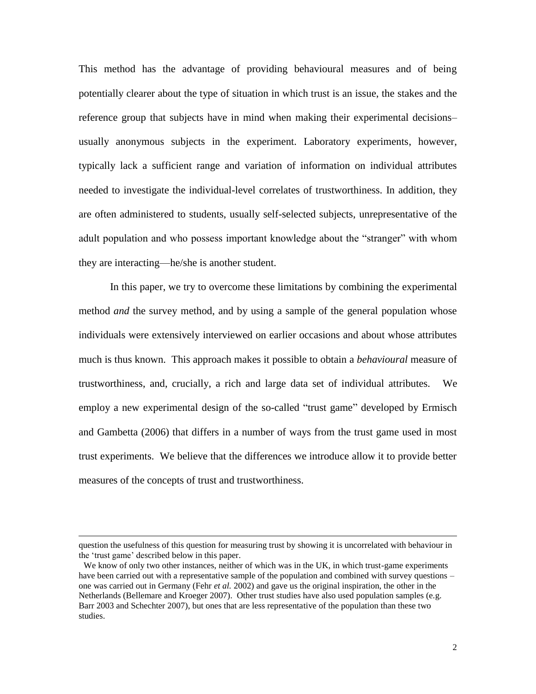This method has the advantage of providing behavioural measures and of being potentially clearer about the type of situation in which trust is an issue, the stakes and the reference group that subjects have in mind when making their experimental decisions– usually anonymous subjects in the experiment. Laboratory experiments, however, typically lack a sufficient range and variation of information on individual attributes needed to investigate the individual-level correlates of trustworthiness. In addition, they are often administered to students, usually self-selected subjects, unrepresentative of the adult population and who possess important knowledge about the "stranger" with whom they are interacting—he/she is another student.

In this paper, we try to overcome these limitations by combining the experimental method *and* the survey method, and by using a sample of the general population whose individuals were extensively interviewed on earlier occasions and about whose attributes much is thus known. This approach makes it possible to obtain a *behavioural* measure of trustworthiness, and, crucially, a rich and large data set of individual attributes.<sup>3</sup> We employ a new experimental design of the so-called "trust game" developed by Ermisch and Gambetta (2006) that differs in a number of ways from the trust game used in most trust experiments. We believe that the differences we introduce allow it to provide better measures of the concepts of trust and trustworthiness.

question the usefulness of this question for measuring trust by showing it is uncorrelated with behaviour in the ‗trust game' described below in this paper.

We know of only two other instances, neither of which was in the UK, in which trust-game experiments have been carried out with a representative sample of the population and combined with survey questions – one was carried out in Germany (Fehr *et al.* 2002) and gave us the original inspiration, the other in the Netherlands (Bellemare and Kroeger 2007). Other trust studies have also used population samples (e.g. Barr 2003 and Schechter 2007), but ones that are less representative of the population than these two studies.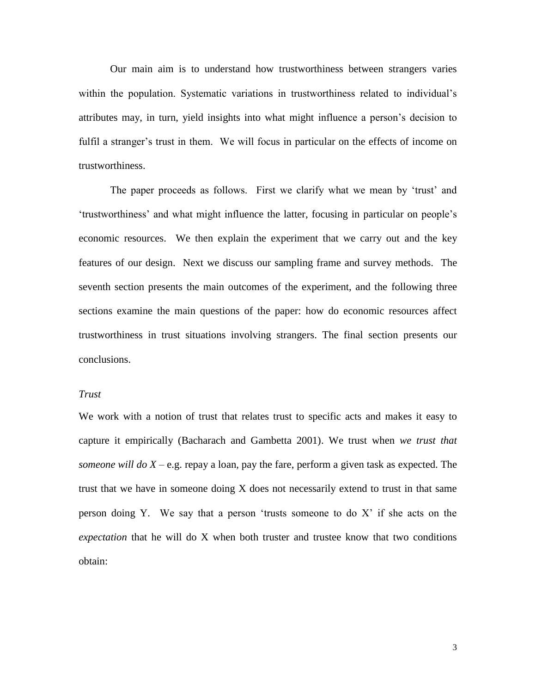Our main aim is to understand how trustworthiness between strangers varies within the population. Systematic variations in trustworthiness related to individual's attributes may, in turn, yield insights into what might influence a person's decision to fulfil a stranger's trust in them. We will focus in particular on the effects of income on trustworthiness.

The paper proceeds as follows. First we clarify what we mean by 'trust' and ‗trustworthiness' and what might influence the latter, focusing in particular on people's economic resources. We then explain the experiment that we carry out and the key features of our design. Next we discuss our sampling frame and survey methods. The seventh section presents the main outcomes of the experiment, and the following three sections examine the main questions of the paper: how do economic resources affect trustworthiness in trust situations involving strangers. The final section presents our conclusions.

# *Trust*

We work with a notion of trust that relates trust to specific acts and makes it easy to capture it empirically (Bacharach and Gambetta 2001). We trust when *we trust that someone will do X – e.g.* repay a loan, pay the fare, perform a given task as expected. The trust that we have in someone doing X does not necessarily extend to trust in that same person doing Y. We say that a person 'trusts someone to do  $X$ ' if she acts on the *expectation* that he will do X when both truster and trustee know that two conditions obtain: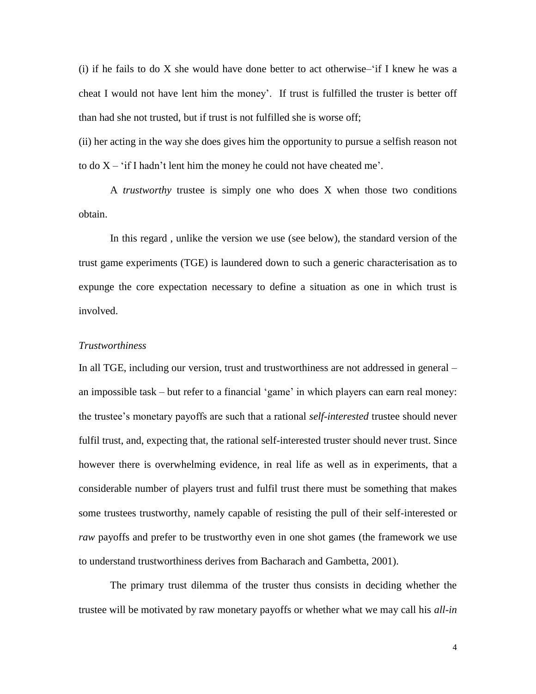(i) if he fails to do  $X$  she would have done better to act otherwise– $\hat{i}$ f I knew he was a cheat I would not have lent him the money'. If trust is fulfilled the truster is better off than had she not trusted, but if trust is not fulfilled she is worse off;

(ii) her acting in the way she does gives him the opportunity to pursue a selfish reason not to do  $X - f$  if I hadn't lent him the money he could not have cheated me'.

A *trustworthy* trustee is simply one who does X when those two conditions obtain.

In this regard , unlike the version we use (see below), the standard version of the trust game experiments (TGE) is laundered down to such a generic characterisation as to expunge the core expectation necessary to define a situation as one in which trust is involved.

#### *Trustworthiness*

In all TGE, including our version, trust and trustworthiness are not addressed in general – an impossible task – but refer to a financial 'game' in which players can earn real money: the trustee's monetary payoffs are such that a rational *self-interested* trustee should never fulfil trust, and, expecting that, the rational self-interested truster should never trust. Since however there is overwhelming evidence, in real life as well as in experiments, that a considerable number of players trust and fulfil trust there must be something that makes some trustees trustworthy, namely capable of resisting the pull of their self-interested or *raw* payoffs and prefer to be trustworthy even in one shot games (the framework we use to understand trustworthiness derives from Bacharach and Gambetta, 2001).

The primary trust dilemma of the truster thus consists in deciding whether the trustee will be motivated by raw monetary payoffs or whether what we may call his *all-in*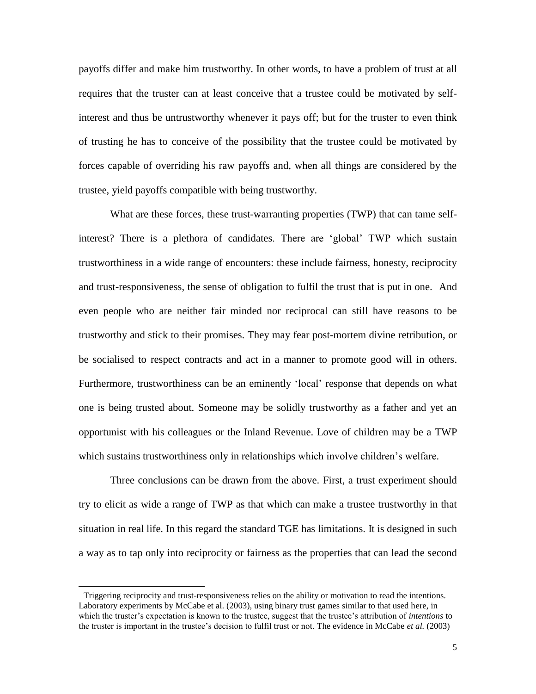payoffs differ and make him trustworthy. In other words, to have a problem of trust at all requires that the truster can at least conceive that a trustee could be motivated by selfinterest and thus be untrustworthy whenever it pays off; but for the truster to even think of trusting he has to conceive of the possibility that the trustee could be motivated by forces capable of overriding his raw payoffs and, when all things are considered by the trustee, yield payoffs compatible with being trustworthy.

What are these forces, these trust-warranting properties (TWP) that can tame selfinterest? There is a plethora of candidates. There are 'global' TWP which sustain trustworthiness in a wide range of encounters: these include fairness, honesty, reciprocity and trust-responsiveness, the sense of obligation to fulfil the trust that is put in one. And even people who are neither fair minded nor reciprocal can still have reasons to be trustworthy and stick to their promises. They may fear post-mortem divine retribution, or be socialised to respect contracts and act in a manner to promote good will in others. Furthermore, trustworthiness can be an eminently 'local' response that depends on what one is being trusted about. Someone may be solidly trustworthy as a father and yet an opportunist with his colleagues or the Inland Revenue. Love of children may be a TWP which sustains trustworthiness only in relationships which involve children's welfare.

Three conclusions can be drawn from the above. First, a trust experiment should try to elicit as wide a range of TWP as that which can make a trustee trustworthy in that situation in real life. In this regard the standard TGE has limitations. It is designed in such a way as to tap only into reciprocity or fairness as the properties that can lead the second

Triggering reciprocity and trust-responsiveness relies on the ability or motivation to read the intentions. Laboratory experiments by McCabe et al. (2003), using binary trust games similar to that used here, in which the truster's expectation is known to the trustee, suggest that the trustee's attribution of *intentions* to the truster is important in the trustee's decision to fulfil trust or not. The evidence in McCabe *et al.* (2003)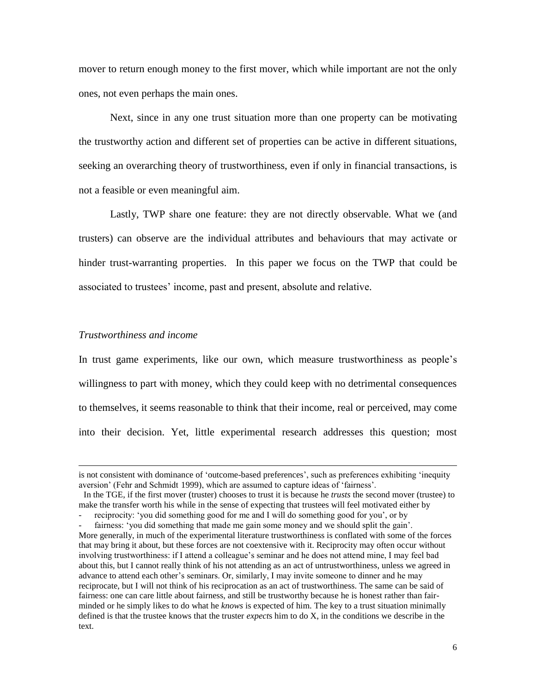mover to return enough money to the first mover, which while important are not the only ones, not even perhaps the main ones.

Next, since in any one trust situation more than one property can be motivating the trustworthy action and different set of properties can be active in different situations, seeking an overarching theory of trustworthiness, even if only in financial transactions, is not a feasible or even meaningful aim.

Lastly, TWP share one feature: they are not directly observable. What we (and trusters) can observe are the individual attributes and behaviours that may activate or hinder trust-warranting properties. In this paper we focus on the TWP that could be associated to trustees' income, past and present, absolute and relative.

# *Trustworthiness and income*

l

In trust game experiments, like our own, which measure trustworthiness as people's willingness to part with money, which they could keep with no detrimental consequences to themselves, it seems reasonable to think that their income, real or perceived, may come into their decision. Yet, little experimental research addresses this question; most

is not consistent with dominance of 'outcome-based preferences', such as preferences exhibiting 'inequity aversion' (Fehr and Schmidt 1999), which are assumed to capture ideas of 'fairness'.

In the TGE, if the first mover (truster) chooses to trust it is because he *trusts* the second mover (trustee) to make the transfer worth his while in the sense of expecting that trustees will feel motivated either by

reciprocity: 'you did something good for me and I will do something good for you', or by fairness: 'you did something that made me gain some money and we should split the gain'.

More generally, in much of the experimental literature trustworthiness is conflated with some of the forces that may bring it about, but these forces are not coextensive with it. Reciprocity may often occur without involving trustworthiness: if I attend a colleague's seminar and he does not attend mine, I may feel bad about this, but I cannot really think of his not attending as an act of untrustworthiness, unless we agreed in advance to attend each other's seminars. Or, similarly, I may invite someone to dinner and he may reciprocate, but I will not think of his reciprocation as an act of trustworthiness. The same can be said of fairness: one can care little about fairness, and still be trustworthy because he is honest rather than fairminded or he simply likes to do what he *knows* is expected of him. The key to a trust situation minimally defined is that the trustee knows that the truster *expect*s him to do X, in the conditions we describe in the text.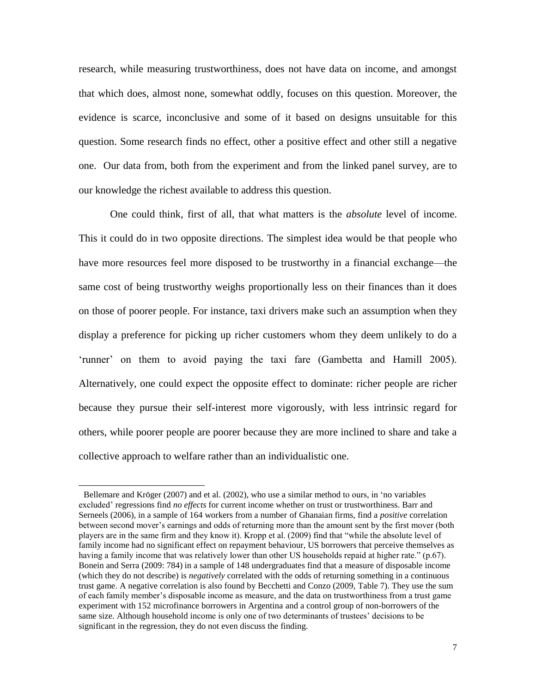research, while measuring trustworthiness, does not have data on income, and amongst that which does, almost none, somewhat oddly, focuses on this question. Moreover, the evidence is scarce, inconclusive and some of it based on designs unsuitable for this question. Some research finds no effect, other a positive effect and other still a negative one.<sup>6</sup> Our data from, both from the experiment and from the linked panel survey, are to our knowledge the richest available to address this question.

One could think, first of all, that what matters is the *absolute* level of income. This it could do in two opposite directions. The simplest idea would be that people who have more resources feel more disposed to be trustworthy in a financial exchange—the same cost of being trustworthy weighs proportionally less on their finances than it does on those of poorer people. For instance, taxi drivers make such an assumption when they display a preference for picking up richer customers whom they deem unlikely to do a ‗runner' on them to avoid paying the taxi fare (Gambetta and Hamill 2005). Alternatively, one could expect the opposite effect to dominate: richer people are richer because they pursue their self-interest more vigorously, with less intrinsic regard for others, while poorer people are poorer because they are more inclined to share and take a collective approach to welfare rather than an individualistic one.

<sup>6</sup> Bellemare and Kröger (2007) and et al. (2002), who use a similar method to ours, in ‗no variables excluded' regressions find *no effects* for current income whether on trust or trustworthiness. Barr and Serneels (2006), in a sample of 164 workers from a number of Ghanaian firms, find a *positive* correlation between second mover's earnings and odds of returning more than the amount sent by the first mover (both players are in the same firm and they know it). Kropp et al. (2009) find that "while the absolute level of family income had no significant effect on repayment behaviour, US borrowers that perceive themselves as having a family income that was relatively lower than other US households repaid at higher rate." (p.67). Bonein and Serra (2009: 784) in a sample of 148 undergraduates find that a measure of disposable income (which they do not describe) is *negatively* correlated with the odds of returning something in a continuous trust game. A negative correlation is also found by Becchetti and Conzo (2009, Table 7). They use the sum of each family member's disposable income as measure, and the data on trustworthiness from a trust game experiment with 152 microfinance borrowers in Argentina and a control group of non-borrowers of the same size. Although household income is only one of two determinants of trustees' decisions to be significant in the regression, they do not even discuss the finding.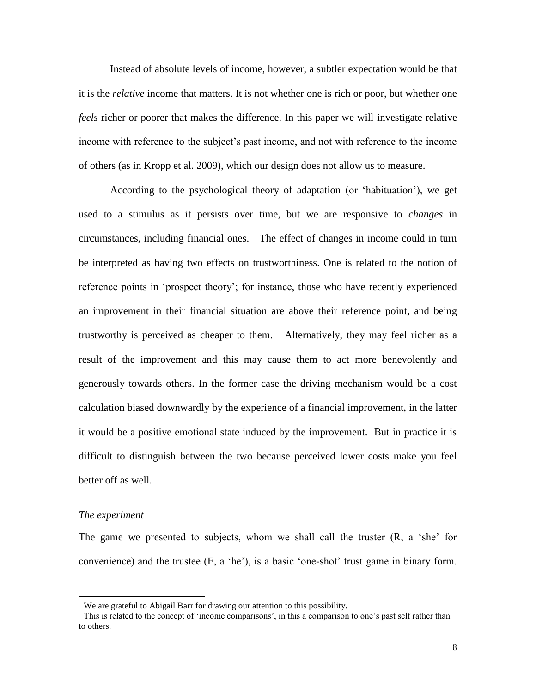Instead of absolute levels of income, however, a subtler expectation would be that it is the *relative* income that matters. It is not whether one is rich or poor, but whether one *feels* richer or poorer that makes the difference. In this paper we will investigate relative income with reference to the subject's past income, and not with reference to the income of others (as in Kropp et al. 2009), which our design does not allow us to measure.

According to the psychological theory of adaptation (or 'habituation'), we get used to a stimulus as it persists over time, but we are responsive to *changes* in circumstances, including financial ones. The effect of changes in income could in turn be interpreted as having two effects on trustworthiness. One is related to the notion of reference points in 'prospect theory'; for instance, those who have recently experienced an improvement in their financial situation are above their reference point, and being trustworthy is perceived as cheaper to them. 8 Alternatively, they may feel richer as a result of the improvement and this may cause them to act more benevolently and generously towards others. In the former case the driving mechanism would be a cost calculation biased downwardly by the experience of a financial improvement, in the latter it would be a positive emotional state induced by the improvement. But in practice it is difficult to distinguish between the two because perceived lower costs make you feel better off as well.

# *The experiment*

l

The game we presented to subjects, whom we shall call the truster  $(R, a \text{ 'she' for }$ convenience) and the trustee  $(E, a 'he')$ , is a basic 'one-shot' trust game in binary form.

We are grateful to Abigail Barr for drawing our attention to this possibility.

This is related to the concept of 'income comparisons', in this a comparison to one's past self rather than to others.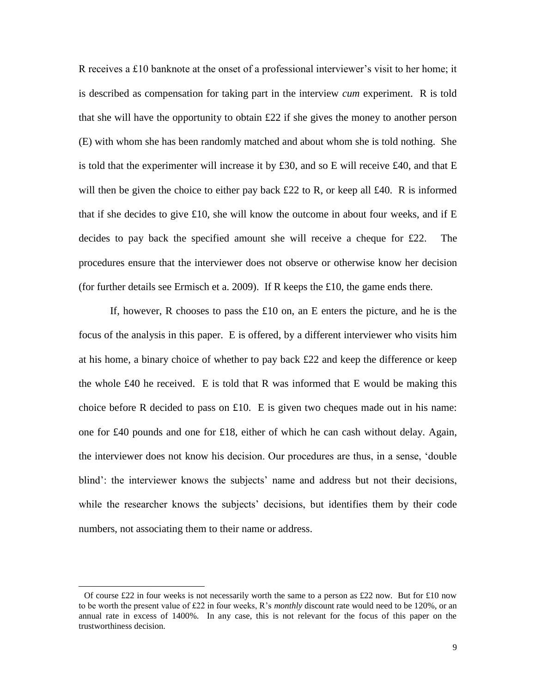R receives a £10 banknote at the onset of a professional interviewer's visit to her home; it is described as compensation for taking part in the interview *cum* experiment. R is told that she will have the opportunity to obtain £22 if she gives the money to another person (E) with whom she has been randomly matched and about whom she is told nothing. She is told that the experimenter will increase it by £30, and so E will receive £40, and that E will then be given the choice to either pay back  $\pounds 22$  to R, or keep all  $\pounds 40$ . R is informed that if she decides to give  $\pounds 10$ , she will know the outcome in about four weeks, and if E decides to pay back the specified amount she will receive a cheque for  $\text{\pounds}22$ . The procedures ensure that the interviewer does not observe or otherwise know her decision (for further details see Ermisch et a. 2009). If R keeps the £10, the game ends there.

If, however, R chooses to pass the £10 on, an E enters the picture, and he is the focus of the analysis in this paper. E is offered, by a different interviewer who visits him at his home, a binary choice of whether to pay back £22 and keep the difference or keep the whole £40 he received. E is told that R was informed that E would be making this choice before R decided to pass on £10. E is given two cheques made out in his name: one for £40 pounds and one for £18, either of which he can cash without delay. Again, the interviewer does not know his decision. Our procedures are thus, in a sense, ‗double blind': the interviewer knows the subjects' name and address but not their decisions, while the researcher knows the subjects' decisions, but identifies them by their code numbers, not associating them to their name or address.

Of course £22 in four weeks is not necessarily worth the same to a person as £22 now. But for £10 now to be worth the present value of £22 in four weeks, R's *monthly* discount rate would need to be 120%, or an annual rate in excess of 1400%. In any case, this is not relevant for the focus of this paper on the trustworthiness decision.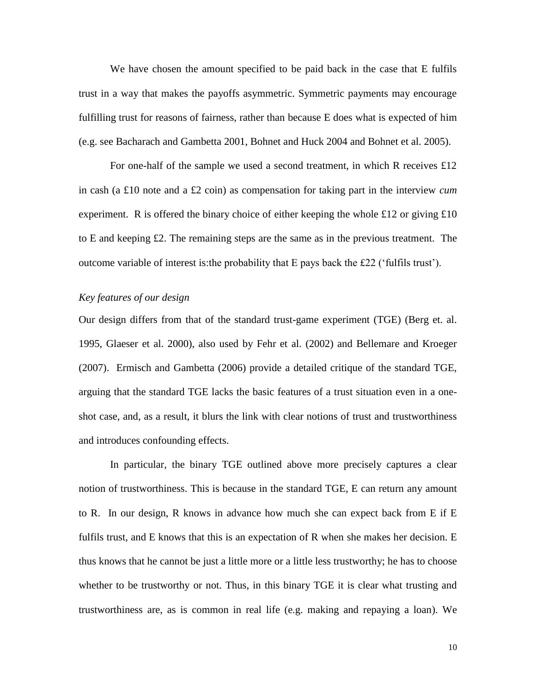We have chosen the amount specified to be paid back in the case that E fulfils trust in a way that makes the payoffs asymmetric. Symmetric payments may encourage fulfilling trust for reasons of fairness, rather than because E does what is expected of him (e.g. see Bacharach and Gambetta 2001, Bohnet and Huck 2004 and Bohnet et al. 2005).

For one-half of the sample we used a second treatment, in which R receives £12 in cash (a £10 note and a £2 coin) as compensation for taking part in the interview *cum* experiment. R is offered the binary choice of either keeping the whole £12 or giving  $£10$ to E and keeping £2. The remaining steps are the same as in the previous treatment. The outcome variable of interest is: the probability that  $E$  pays back the £22 ( $\hat{f}$ ulfils trust $\hat{f}$ ).

# *Key features of our design*

Our design differs from that of the standard trust-game experiment (TGE) (Berg et. al. 1995, Glaeser et al. 2000), also used by Fehr et al. (2002) and Bellemare and Kroeger (2007). Ermisch and Gambetta (2006) provide a detailed critique of the standard TGE, arguing that the standard TGE lacks the basic features of a trust situation even in a oneshot case, and, as a result, it blurs the link with clear notions of trust and trustworthiness and introduces confounding effects.

In particular, the binary TGE outlined above more precisely captures a clear notion of trustworthiness. This is because in the standard TGE, E can return any amount to R. In our design, R knows in advance how much she can expect back from E if E fulfils trust, and E knows that this is an expectation of R when she makes her decision. E thus knows that he cannot be just a little more or a little less trustworthy; he has to choose whether to be trustworthy or not. Thus, in this binary TGE it is clear what trusting and trustworthiness are, as is common in real life (e.g. making and repaying a loan). We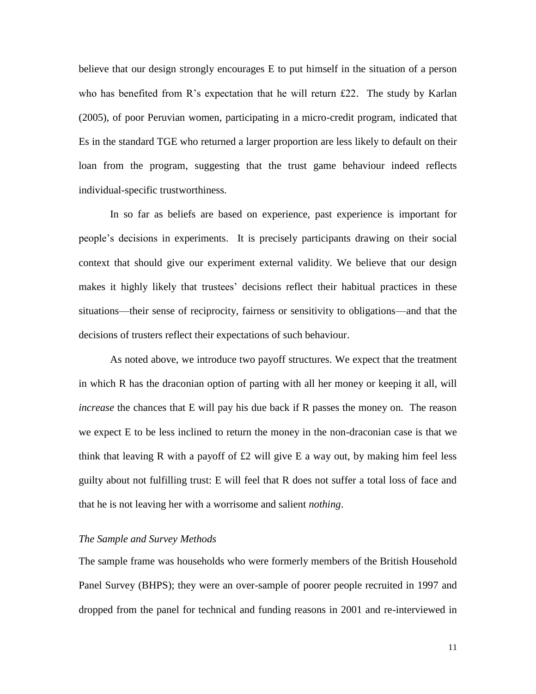believe that our design strongly encourages E to put himself in the situation of a person who has benefited from R's expectation that he will return £22. The study by Karlan (2005), of poor Peruvian women, participating in a micro-credit program, indicated that Es in the standard TGE who returned a larger proportion are less likely to default on their loan from the program, suggesting that the trust game behaviour indeed reflects individual-specific trustworthiness.

In so far as beliefs are based on experience, past experience is important for people's decisions in experiments. It is precisely participants drawing on their social context that should give our experiment external validity. We believe that our design makes it highly likely that trustees' decisions reflect their habitual practices in these situations—their sense of reciprocity, fairness or sensitivity to obligations—and that the decisions of trusters reflect their expectations of such behaviour.

As noted above, we introduce two payoff structures. We expect that the treatment in which R has the draconian option of parting with all her money or keeping it all, will *increase* the chances that E will pay his due back if R passes the money on. The reason we expect E to be less inclined to return the money in the non-draconian case is that we think that leaving R with a payoff of  $\pounds 2$  will give E a way out, by making him feel less guilty about not fulfilling trust: E will feel that R does not suffer a total loss of face and that he is not leaving her with a worrisome and salient *nothing*.

# *The Sample and Survey Methods*

The sample frame was households who were formerly members of the British Household Panel Survey (BHPS); they were an over-sample of poorer people recruited in 1997 and dropped from the panel for technical and funding reasons in 2001 and re-interviewed in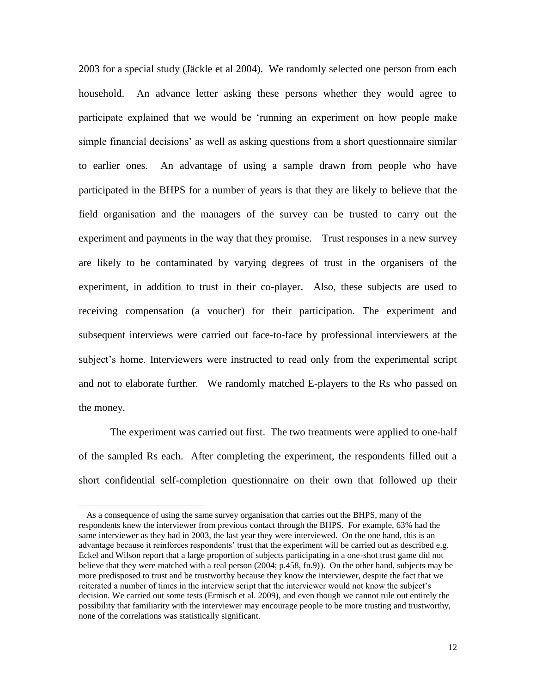2003 for a special study (Jäckle et al 2004). We randomly selected one person from each household. An advance letter asking these persons whether they would agree to participate explained that we would be 'running an experiment on how people make simple financial decisions' as well as asking questions from a short questionnaire similar to earlier ones. An advantage of using a sample drawn from people who have participated in the BHPS for a number of years is that they are likely to believe that the field organisation and the managers of the survey can be trusted to carry out the experiment and payments in the way that they promise. Trust responses in a new survey are likely to be contaminated by varying degrees of trust in the organisers of the experiment, in addition to trust in their co-player. Also, these subjects are used to receiving compensation (a voucher) for their participation. The experiment and subsequent interviews were carried out face-to-face by professional interviewers at the subject's home. Interviewers were instructed to read only from the experimental script and not to elaborate further. We randomly matched E-players to the Rs who passed on the money.

The experiment was carried out first. The two treatments were applied to one-half of the sampled Rs each. After completing the experiment, the respondents filled out a short confidential self-completion questionnaire on their own that followed up their

As a consequence of using the same survey organisation that carries out the BHPS, many of the respondents knew the interviewer from previous contact through the BHPS. For example, 63% had the same interviewer as they had in 2003, the last year they were interviewed. On the one hand, this is an advantage because it reinforces respondents' trust that the experiment will be carried out as described e.g. Eckel and Wilson report that a large proportion of subjects participating in a one-shot trust game did not believe that they were matched with a real person (2004; p.458, fn.9)). On the other hand, subjects may be more predisposed to trust and be trustworthy because they know the interviewer, despite the fact that we reiterated a number of times in the interview script that the interviewer would not know the subject's decision. We carried out some tests (Ermisch et al. 2009), and even though we cannot rule out entirely the possibility that familiarity with the interviewer may encourage people to be more trusting and trustworthy, none of the correlations was statistically significant.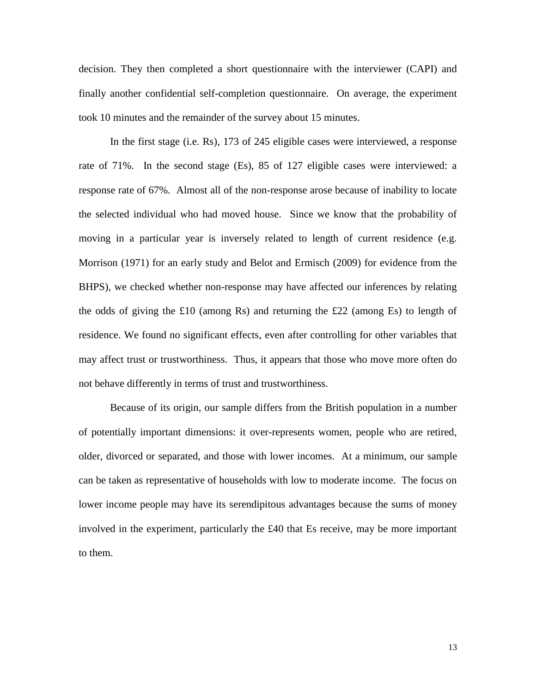decision. They then completed a short questionnaire with the interviewer (CAPI) and finally another confidential self-completion questionnaire. On average, the experiment took 10 minutes and the remainder of the survey about 15 minutes.

In the first stage (i.e. Rs), 173 of 245 eligible cases were interviewed, a response rate of 71%. In the second stage (Es), 85 of 127 eligible cases were interviewed: a response rate of 67%. Almost all of the non-response arose because of inability to locate the selected individual who had moved house. Since we know that the probability of moving in a particular year is inversely related to length of current residence (e.g. Morrison (1971) for an early study and Belot and Ermisch (2009) for evidence from the BHPS), we checked whether non-response may have affected our inferences by relating the odds of giving the £10 (among Rs) and returning the £22 (among Es) to length of residence. We found no significant effects, even after controlling for other variables that may affect trust or trustworthiness. Thus, it appears that those who move more often do not behave differently in terms of trust and trustworthiness.

Because of its origin, our sample differs from the British population in a number of potentially important dimensions: it over-represents women, people who are retired, older, divorced or separated, and those with lower incomes. At a minimum, our sample can be taken as representative of households with low to moderate income. The focus on lower income people may have its serendipitous advantages because the sums of money involved in the experiment, particularly the £40 that Es receive, may be more important to them.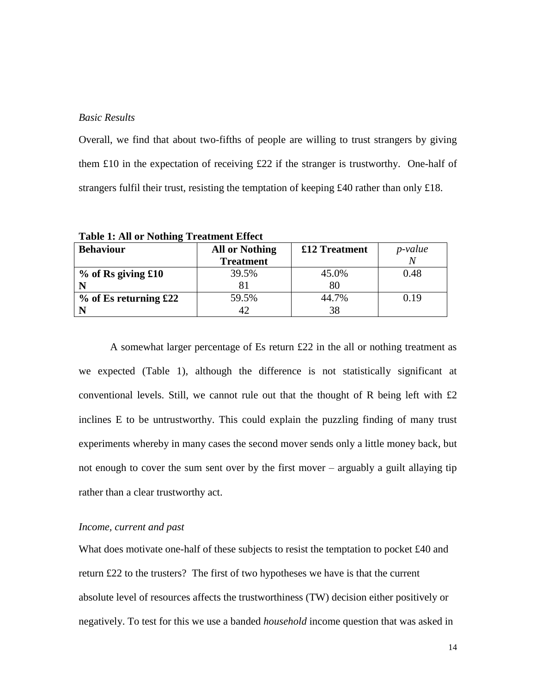# *Basic Results*

Overall, we find that about two-fifths of people are willing to trust strangers by giving them £10 in the expectation of receiving £22 if the stranger is trustworthy. One-half of strangers fulfil their trust, resisting the temptation of keeping £40 rather than only £18.

| <b>Behaviour</b>        | <b>All or Nothing</b> | £12 Treatment | <i>p</i> -value |
|-------------------------|-----------------------|---------------|-----------------|
|                         | <b>Treatment</b>      |               |                 |
| $%$ of Rs giving £10    | 39.5%                 | 45.0%         | 0.48            |
|                         |                       | 80            |                 |
| $%$ of Es returning £22 | 59.5%                 | 44.7%         | 0.19            |
|                         | 42                    | 38            |                 |

**Table 1: All or Nothing Treatment Effect**

A somewhat larger percentage of Es return £22 in the all or nothing treatment as we expected (Table 1), although the difference is not statistically significant at conventional levels. Still, we cannot rule out that the thought of R being left with  $\pounds 2$ inclines E to be untrustworthy. This could explain the puzzling finding of many trust experiments whereby in many cases the second mover sends only a little money back, but not enough to cover the sum sent over by the first mover – arguably a guilt allaying tip rather than a clear trustworthy act.

### *Income, current and past*

What does motivate one-half of these subjects to resist the temptation to pocket £40 and return £22 to the trusters? The first of two hypotheses we have is that the current absolute level of resources affects the trustworthiness (TW) decision either positively or negatively. To test for this we use a banded *household* income question that was asked in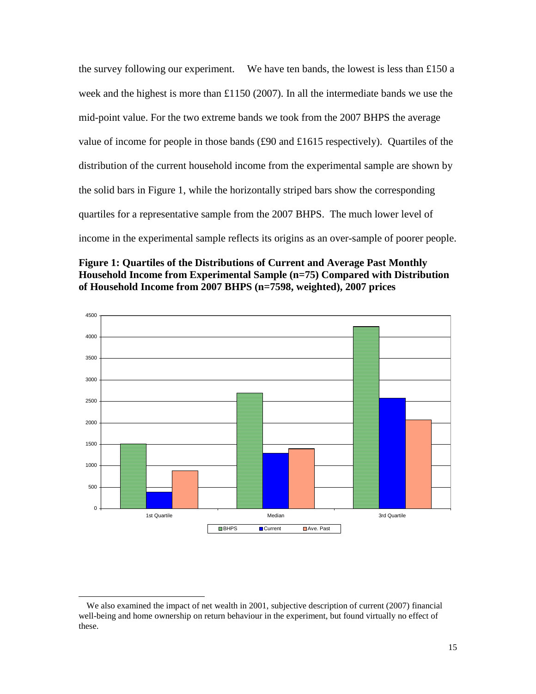the survey following our experiment. We have ten bands, the lowest is less than £150 a week and the highest is more than £1150 (2007). In all the intermediate bands we use the mid-point value. For the two extreme bands we took from the 2007 BHPS the average value of income for people in those bands (£90 and £1615 respectively). Quartiles of the distribution of the current household income from the experimental sample are shown by the solid bars in Figure 1, while the horizontally striped bars show the corresponding quartiles for a representative sample from the 2007 BHPS. The much lower level of income in the experimental sample reflects its origins as an over-sample of poorer people.





We also examined the impact of net wealth in 2001, subjective description of current (2007) financial well-being and home ownership on return behaviour in the experiment, but found virtually no effect of these.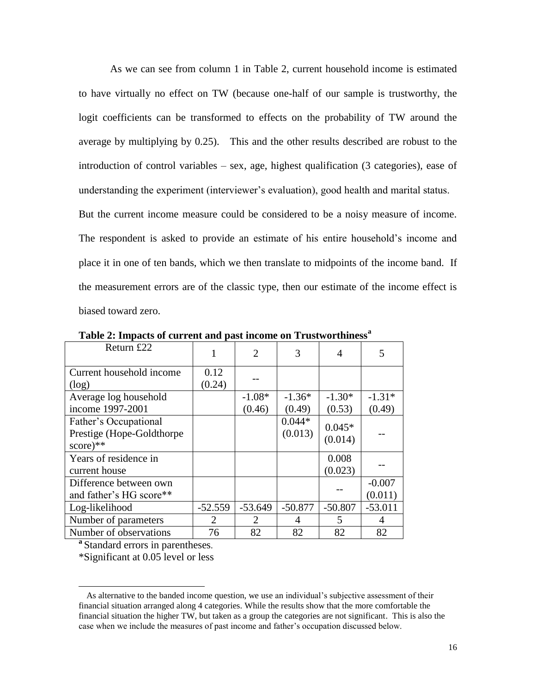As we can see from column 1 in Table 2, current household income is estimated to have virtually no effect on TW (because one-half of our sample is trustworthy, the logit coefficients can be transformed to effects on the probability of TW around the average by multiplying by 0.25). This and the other results described are robust to the introduction of control variables – sex, age, highest qualification (3 categories), ease of understanding the experiment (interviewer's evaluation), good health and marital status. But the current income measure could be considered to be a noisy measure of income. The respondent is asked to provide an estimate of his entire household's income and

place it in one of ten bands, which we then translate to midpoints of the income band. If the measurement errors are of the classic type, then our estimate of the income effect is biased toward zero.

| Return £22                 |           | $\overline{2}$ | 3         | 4         | 5         |
|----------------------------|-----------|----------------|-----------|-----------|-----------|
| Current household income   | 0.12      |                |           |           |           |
| (log)                      | (0.24)    |                |           |           |           |
| Average log household      |           | $-1.08*$       | $-1.36*$  | $-1.30*$  | $-1.31*$  |
| income 1997-2001           |           | (0.46)         | (0.49)    | (0.53)    | (0.49)    |
| Father's Occupational      |           |                | $0.044*$  |           |           |
| Prestige (Hope-Goldthorpe) |           |                | (0.013)   | $0.045*$  |           |
| $score)$ **                |           |                |           | (0.014)   |           |
| Years of residence in      |           |                |           | 0.008     |           |
| current house              |           |                |           | (0.023)   |           |
| Difference between own     |           |                |           |           | $-0.007$  |
| and father's HG score**    |           |                |           |           | (0.011)   |
| Log-likelihood             | $-52.559$ | $-53.649$      | $-50.877$ | $-50.807$ | $-53.011$ |
| Number of parameters       | 2         | 2              | 4         | 5         | 4         |
| Number of observations     | 76        | 82             | 82        | 82        | 82        |

**Table 2: Impacts of current and past income on Trustworthiness<sup>a</sup>**

**a**Standard errors in parentheses.

\*Significant at 0.05 level or less

<sup>12</sup> As alternative to the banded income question, we use an individual's subjective assessment of their financial situation arranged along 4 categories. While the results show that the more comfortable the financial situation the higher TW, but taken as a group the categories are not significant. This is also the case when we include the measures of past income and father's occupation discussed below.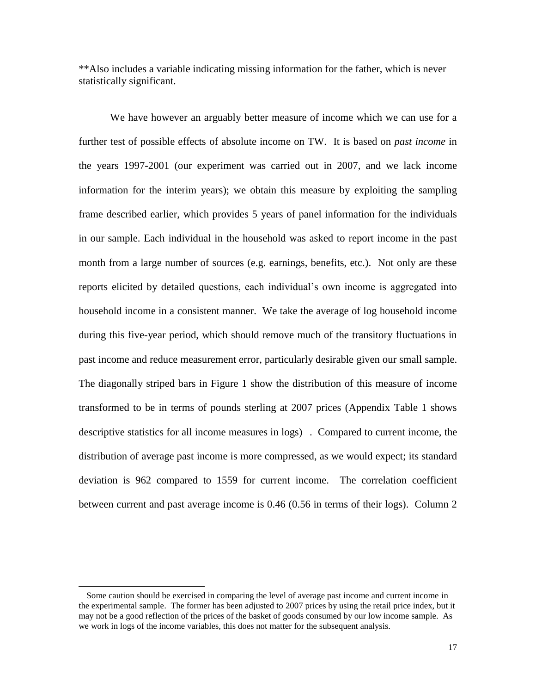\*\*Also includes a variable indicating missing information for the father, which is never statistically significant.

We have however an arguably better measure of income which we can use for a further test of possible effects of absolute income on TW. It is based on *past income* in the years 1997-2001 (our experiment was carried out in 2007, and we lack income information for the interim years); we obtain this measure by exploiting the sampling frame described earlier, which provides 5 years of panel information for the individuals in our sample. Each individual in the household was asked to report income in the past month from a large number of sources (e.g. earnings, benefits, etc.). Not only are these reports elicited by detailed questions, each individual's own income is aggregated into household income in a consistent manner. We take the average of log household income during this five-year period, which should remove much of the transitory fluctuations in past income and reduce measurement error, particularly desirable given our small sample. The diagonally striped bars in Figure 1 show the distribution of this measure of income transformed to be in terms of pounds sterling at 2007 prices (Appendix Table 1 shows descriptive statistics for all income measures in logs) . Compared to current income, the distribution of average past income is more compressed, as we would expect; its standard deviation is 962 compared to 1559 for current income. The correlation coefficient between current and past average income is 0.46 (0.56 in terms of their logs). Column 2

<sup>13</sup> Some caution should be exercised in comparing the level of average past income and current income in the experimental sample. The former has been adjusted to 2007 prices by using the retail price index, but it may not be a good reflection of the prices of the basket of goods consumed by our low income sample. As we work in logs of the income variables, this does not matter for the subsequent analysis.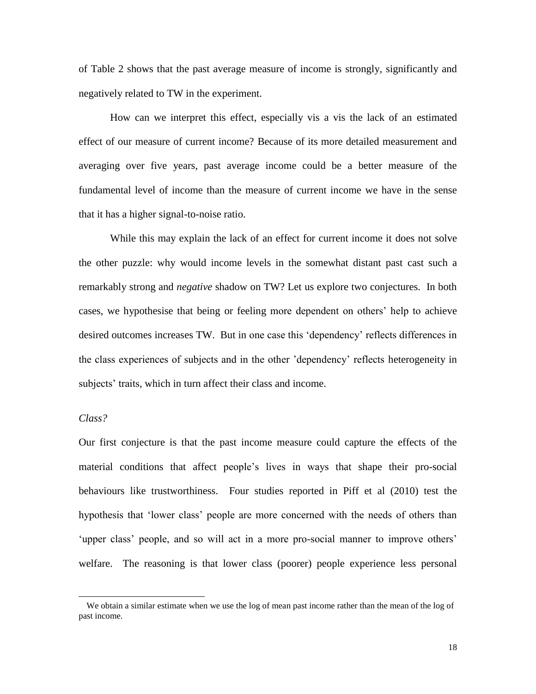of Table 2 shows that the past average measure of income is strongly, significantly and negatively related to TW in the experiment.

How can we interpret this effect, especially vis a vis the lack of an estimated effect of our measure of current income? Because of its more detailed measurement and averaging over five years, past average income could be a better measure of the fundamental level of income than the measure of current income we have in the sense that it has a higher signal-to-noise ratio.

While this may explain the lack of an effect for current income it does not solve the other puzzle: why would income levels in the somewhat distant past cast such a remarkably strong and *negative* shadow on TW? Let us explore two conjectures. In both cases, we hypothesise that being or feeling more dependent on others' help to achieve desired outcomes increases TW. But in one case this ‗dependency' reflects differences in the class experiences of subjects and in the other 'dependency' reflects heterogeneity in subjects' traits, which in turn affect their class and income.

### *Class?*

l

Our first conjecture is that the past income measure could capture the effects of the material conditions that affect people's lives in ways that shape their pro-social behaviours like trustworthiness. Four studies reported in Piff et al (2010) test the hypothesis that 'lower class' people are more concerned with the needs of others than 'upper class' people, and so will act in a more pro-social manner to improve others' welfare. The reasoning is that lower class (poorer) people experience less personal

We obtain a similar estimate when we use the log of mean past income rather than the mean of the log of past income.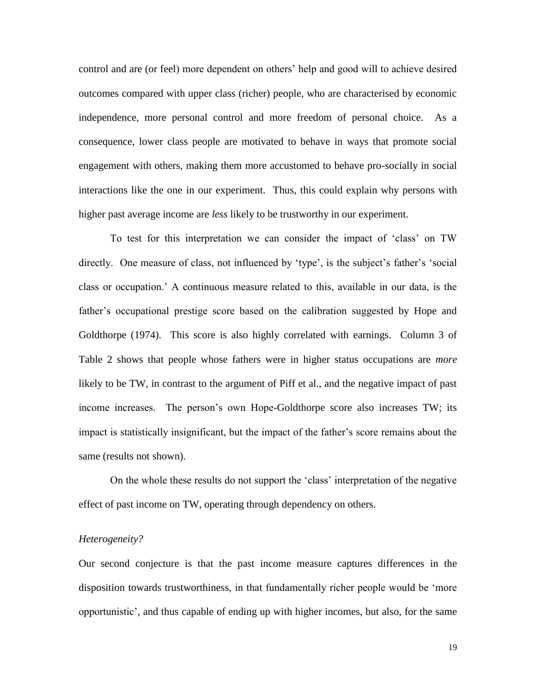control and are (or feel) more dependent on others' help and good will to achieve desired outcomes compared with upper class (richer) people, who are characterised by economic independence, more personal control and more freedom of personal choice. As a consequence, lower class people are motivated to behave in ways that promote social engagement with others, making them more accustomed to behave pro-socially in social interactions like the one in our experiment. Thus, this could explain why persons with higher past average income are *less* likely to be trustworthy in our experiment.

To test for this interpretation we can consider the impact of ‗class' on TW directly. One measure of class, not influenced by 'type', is the subject's father's 'social class or occupation.' A continuous measure related to this, available in our data, is the father's occupational prestige score based on the calibration suggested by Hope and Goldthorpe (1974). This score is also highly correlated with earnings. Column 3 of Table 2 shows that people whose fathers were in higher status occupations are *more* likely to be TW, in contrast to the argument of Piff et al., and the negative impact of past income increases. The person's own Hope-Goldthorpe score also increases TW; its impact is statistically insignificant, but the impact of the father's score remains about the same (results not shown).

On the whole these results do not support the 'class' interpretation of the negative effect of past income on TW, operating through dependency on others.

# *Heterogeneity?*

Our second conjecture is that the past income measure captures differences in the disposition towards trustworthiness, in that fundamentally richer people would be 'more opportunistic', and thus capable of ending up with higher incomes, but also, for the same

19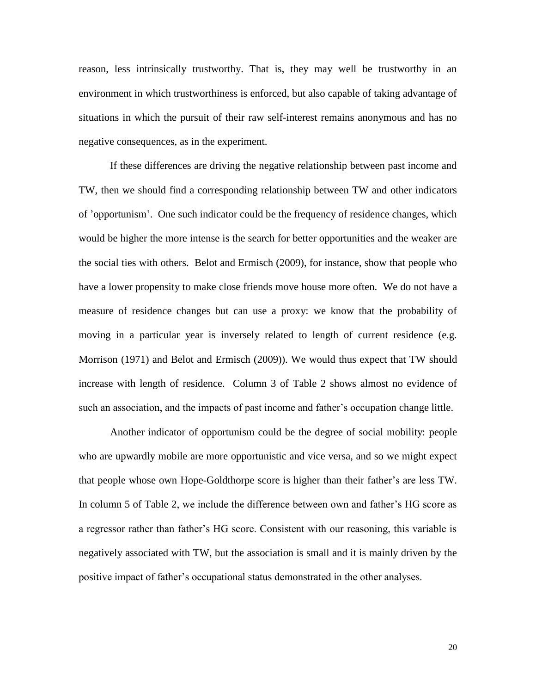reason, less intrinsically trustworthy. That is, they may well be trustworthy in an environment in which trustworthiness is enforced, but also capable of taking advantage of situations in which the pursuit of their raw self-interest remains anonymous and has no negative consequences, as in the experiment.

If these differences are driving the negative relationship between past income and TW, then we should find a corresponding relationship between TW and other indicators of 'opportunism'. One such indicator could be the frequency of residence changes, which would be higher the more intense is the search for better opportunities and the weaker are the social ties with others. Belot and Ermisch (2009), for instance, show that people who have a lower propensity to make close friends move house more often. We do not have a measure of residence changes but can use a proxy: we know that the probability of moving in a particular year is inversely related to length of current residence (e.g. Morrison (1971) and Belot and Ermisch (2009)). We would thus expect that TW should increase with length of residence. Column 3 of Table 2 shows almost no evidence of such an association, and the impacts of past income and father's occupation change little.

Another indicator of opportunism could be the degree of social mobility: people who are upwardly mobile are more opportunistic and vice versa, and so we might expect that people whose own Hope-Goldthorpe score is higher than their father's are less TW. In column 5 of Table 2, we include the difference between own and father's HG score as a regressor rather than father's HG score. Consistent with our reasoning, this variable is negatively associated with TW, but the association is small and it is mainly driven by the positive impact of father's occupational status demonstrated in the other analyses.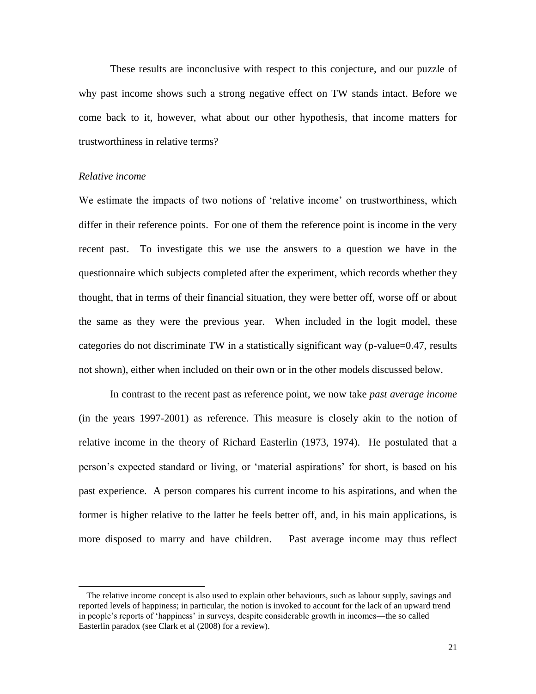These results are inconclusive with respect to this conjecture, and our puzzle of why past income shows such a strong negative effect on TW stands intact. Before we come back to it, however, what about our other hypothesis, that income matters for trustworthiness in relative terms?

### *Relative income*

l

We estimate the impacts of two notions of 'relative income' on trustworthiness, which differ in their reference points. For one of them the reference point is income in the very recent past. To investigate this we use the answers to a question we have in the questionnaire which subjects completed after the experiment, which records whether they thought, that in terms of their financial situation, they were better off, worse off or about the same as they were the previous year. When included in the logit model, these categories do not discriminate TW in a statistically significant way (p-value=0.47, results not shown), either when included on their own or in the other models discussed below.

In contrast to the recent past as reference point, we now take *past average income* (in the years 1997-2001) as reference. This measure is closely akin to the notion of relative income in the theory of Richard Easterlin (1973, 1974). He postulated that a person's expected standard or living, or ‗material aspirations' for short, is based on his past experience. A person compares his current income to his aspirations, and when the former is higher relative to the latter he feels better off, and, in his main applications, is more disposed to marry and have children. Past average income may thus reflect

<sup>15</sup> The relative income concept is also used to explain other behaviours, such as labour supply, savings and reported levels of happiness; in particular, the notion is invoked to account for the lack of an upward trend in people's reports of 'happiness' in surveys, despite considerable growth in incomes—the so called Easterlin paradox (see Clark et al (2008) for a review).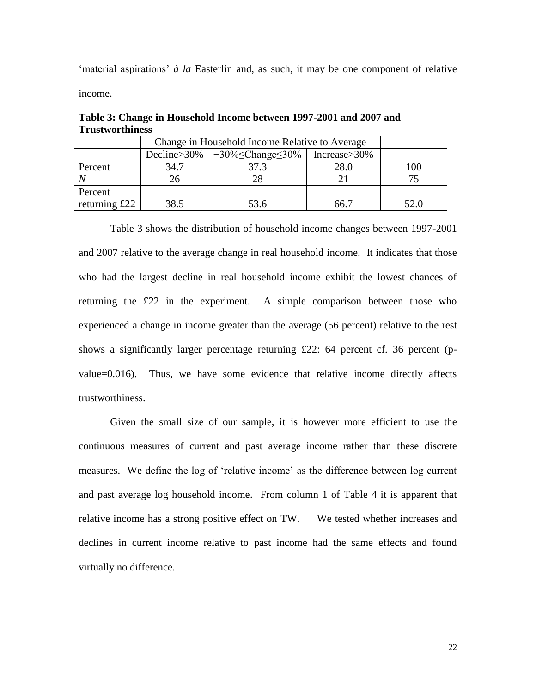‗material aspirations' *à la* Easterlin and, as such, it may be one component of relative income.

|               | Change in Household Income Relative to Average |                                                              |      |      |
|---------------|------------------------------------------------|--------------------------------------------------------------|------|------|
|               |                                                | Decline>30%   $-30\% \leq$ Change $\leq 30\%$   Increase>30% |      |      |
| Percent       | 34.7                                           | 37.3                                                         | 28.0 | 100  |
|               | 26                                             | 28                                                           |      |      |
| Percent       |                                                |                                                              |      |      |
| returning £22 | 38.5                                           | 53.6                                                         | 66.7 | 52.0 |

**Table 3: Change in Household Income between 1997-2001 and 2007 and Trustworthiness**

Table 3 shows the distribution of household income changes between 1997-2001 and 2007 relative to the average change in real household income. It indicates that those who had the largest decline in real household income exhibit the lowest chances of returning the £22 in the experiment. A simple comparison between those who experienced a change in income greater than the average (56 percent) relative to the rest shows a significantly larger percentage returning £22: 64 percent cf. 36 percent (p $value=0.016$ . Thus, we have some evidence that relative income directly affects trustworthiness.

Given the small size of our sample, it is however more efficient to use the continuous measures of current and past average income rather than these discrete measures. We define the log of 'relative income' as the difference between log current and past average log household income. From column 1 of Table 4 it is apparent that relative income has a strong positive effect on TW. We tested whether increases and declines in current income relative to past income had the same effects and found virtually no difference.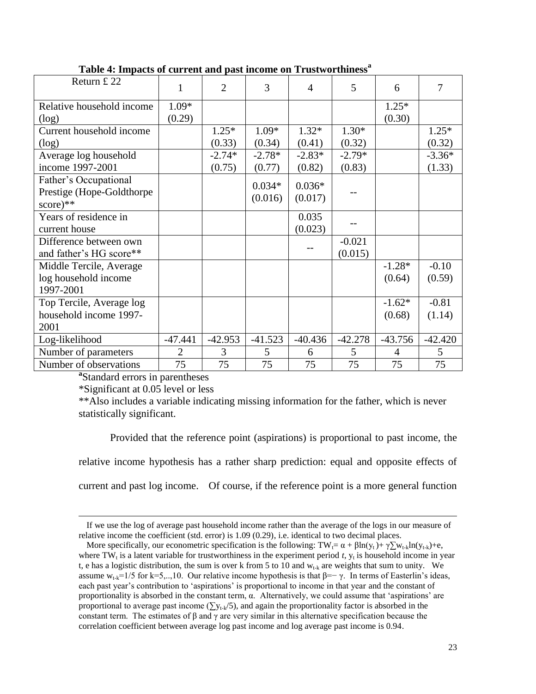| Return £22                | 1              | $\overline{2}$ | 3         | 4         | 5         | 6         | 7              |
|---------------------------|----------------|----------------|-----------|-----------|-----------|-----------|----------------|
| Relative household income | 1.09*          |                |           |           |           | $1.25*$   |                |
| (log)                     | (0.29)         |                |           |           |           | (0.30)    |                |
| Current household income  |                | $1.25*$        | $1.09*$   | $1.32*$   | $1.30*$   |           | $1.25*$        |
| (log)                     |                | (0.33)         | (0.34)    | (0.41)    | (0.32)    |           | (0.32)         |
| Average log household     |                | $-2.74*$       | $-2.78*$  | $-2.83*$  | $-2.79*$  |           | $-3.36*$       |
| income 1997-2001          |                | (0.75)         | (0.77)    | (0.82)    | (0.83)    |           | (1.33)         |
| Father's Occupational     |                |                | $0.034*$  | $0.036*$  |           |           |                |
| Prestige (Hope-Goldthorpe |                |                | (0.016)   | (0.017)   |           |           |                |
| $score)$ **               |                |                |           |           |           |           |                |
| Years of residence in     |                |                |           | 0.035     |           |           |                |
| current house             |                |                |           | (0.023)   |           |           |                |
| Difference between own    |                |                |           |           | $-0.021$  |           |                |
| and father's HG score**   |                |                |           |           | (0.015)   |           |                |
| Middle Tercile, Average   |                |                |           |           |           | $-1.28*$  | $-0.10$        |
| log household income      |                |                |           |           |           | (0.64)    | (0.59)         |
| 1997-2001                 |                |                |           |           |           |           |                |
| Top Tercile, Average log  |                |                |           |           |           | $-1.62*$  | $-0.81$        |
| household income 1997-    |                |                |           |           |           | (0.68)    | (1.14)         |
| 2001                      |                |                |           |           |           |           |                |
| Log-likelihood            | $-47.441$      | $-42.953$      | $-41.523$ | $-40.436$ | $-42.278$ | $-43.756$ | $-42.420$      |
| Number of parameters      | $\overline{2}$ | 3              | 5         | 6         | 5         | 4         | $\mathfrak{S}$ |
| Number of observations    | 75             | 75             | 75        | 75        | 75        | 75        | 75             |

| Table 4: Impacts of current and past income on Trustworthiness <sup>a</sup> |  |  |  |  |  |  |
|-----------------------------------------------------------------------------|--|--|--|--|--|--|
|-----------------------------------------------------------------------------|--|--|--|--|--|--|

**a** Standard errors in parentheses

\*Significant at 0.05 level or less

l

\*\*Also includes a variable indicating missing information for the father, which is never statistically significant.

Provided that the reference point (aspirations) is proportional to past income, the relative income hypothesis has a rather sharp prediction: equal and opposite effects of current and past log income. Of course, if the reference point is a more general function

<sup>16</sup> If we use the log of average past household income rather than the average of the logs in our measure of relative income the coefficient (std. error) is 1.09 (0.29), i.e. identical to two decimal places.

More specifically, our econometric specification is the following:  $TW_i = \alpha + \beta \ln(y_t) + \gamma \sum_{k} w_{t-k} \ln(y_{t-k}) + \epsilon$ , where TW<sub>t</sub> is a latent variable for trustworthiness in the experiment period  $t$ ,  $y_t$  is household income in year t, e has a logistic distribution, the sum is over k from 5 to 10 and  $w_{t-k}$  are weights that sum to unity. We assume  $w_{t,k}=1/5$  for k=5,..,10. Our relative income hypothesis is that  $\beta=-\gamma$ . In terms of Easterlin's ideas, each past year's contribution to 'aspirations' is proportional to income in that year and the constant of proportionality is absorbed in the constant term,  $\alpha$ . Alternatively, we could assume that 'aspirations' are proportional to average past income ( $\sum y_{t-k}/5$ ), and again the proportionality factor is absorbed in the constant term. The estimates of  $\beta$  and  $\gamma$  are very similar in this alternative specification because the correlation coefficient between average log past income and log average past income is 0.94.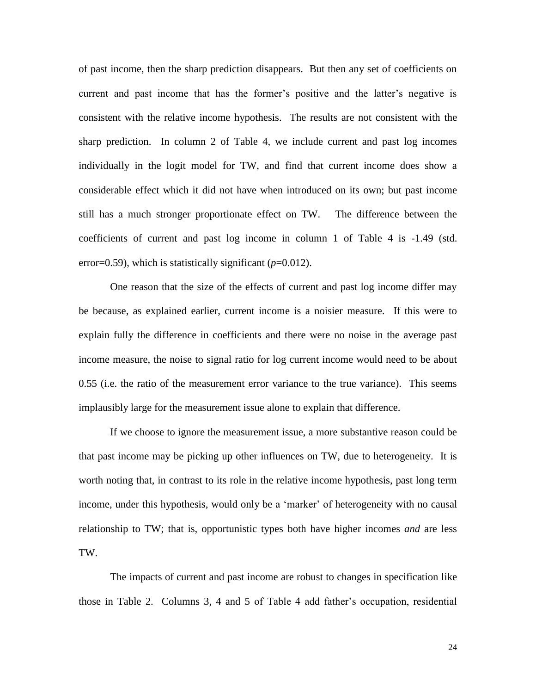of past income, then the sharp prediction disappears. But then any set of coefficients on current and past income that has the former's positive and the latter's negative is consistent with the relative income hypothesis. The results are not consistent with the sharp prediction. In column 2 of Table 4, we include current and past log incomes individually in the logit model for TW, and find that current income does show a considerable effect which it did not have when introduced on its own; but past income still has a much stronger proportionate effect on TW. The difference between the coefficients of current and past log income in column 1 of Table 4 is -1.49 (std. error=0.59), which is statistically significant  $(p=0.012)$ .

One reason that the size of the effects of current and past log income differ may be because, as explained earlier, current income is a noisier measure. If this were to explain fully the difference in coefficients and there were no noise in the average past income measure, the noise to signal ratio for log current income would need to be about 0.55 (i.e. the ratio of the measurement error variance to the true variance). This seems implausibly large for the measurement issue alone to explain that difference.

If we choose to ignore the measurement issue, a more substantive reason could be that past income may be picking up other influences on TW, due to heterogeneity. It is worth noting that, in contrast to its role in the relative income hypothesis, past long term income, under this hypothesis, would only be a 'marker' of heterogeneity with no causal relationship to TW; that is, opportunistic types both have higher incomes *and* are less TW.

The impacts of current and past income are robust to changes in specification like those in Table 2. Columns 3, 4 and 5 of Table 4 add father's occupation, residential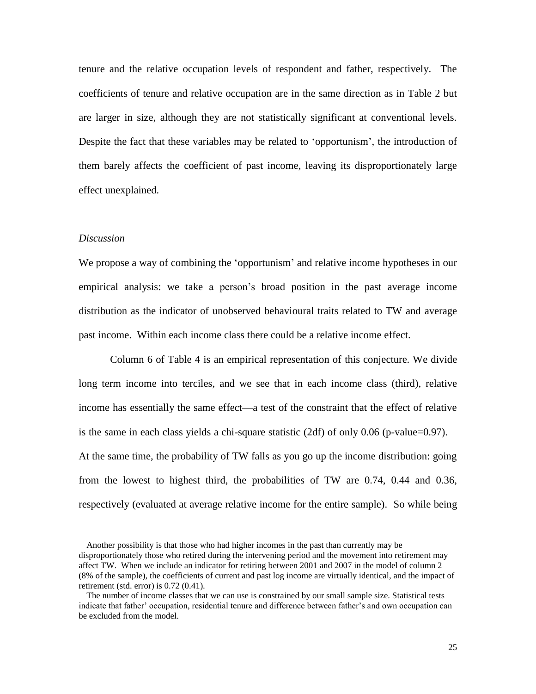tenure and the relative occupation levels of respondent and father, respectively. The coefficients of tenure and relative occupation are in the same direction as in Table 2 but are larger in size, although they are not statistically significant at conventional levels. Despite the fact that these variables may be related to 'opportunism', the introduction of them barely affects the coefficient of past income, leaving its disproportionately large effect unexplained.

#### *Discussion*

l

We propose a way of combining the 'opportunism' and relative income hypotheses in our empirical analysis: we take a person's broad position in the past average income distribution as the indicator of unobserved behavioural traits related to TW and average past income. Within each income class there could be a relative income effect.

Column 6 of Table 4 is an empirical representation of this conjecture. We divide long term income into terciles, and we see that in each income class (third), relative income has essentially the same effect—a test of the constraint that the effect of relative is the same in each class yields a chi-square statistic  $(2df)$  of only 0.06 (p-value=0.97). At the same time, the probability of TW falls as you go up the income distribution: going from the lowest to highest third, the probabilities of TW are 0.74, 0.44 and 0.36, respectively (evaluated at average relative income for the entire sample). So while being

Another possibility is that those who had higher incomes in the past than currently may be disproportionately those who retired during the intervening period and the movement into retirement may affect TW. When we include an indicator for retiring between 2001 and 2007 in the model of column 2 (8% of the sample), the coefficients of current and past log income are virtually identical, and the impact of retirement (std. error) is 0.72 (0.41).

The number of income classes that we can use is constrained by our small sample size. Statistical tests indicate that father' occupation, residential tenure and difference between father's and own occupation can be excluded from the model.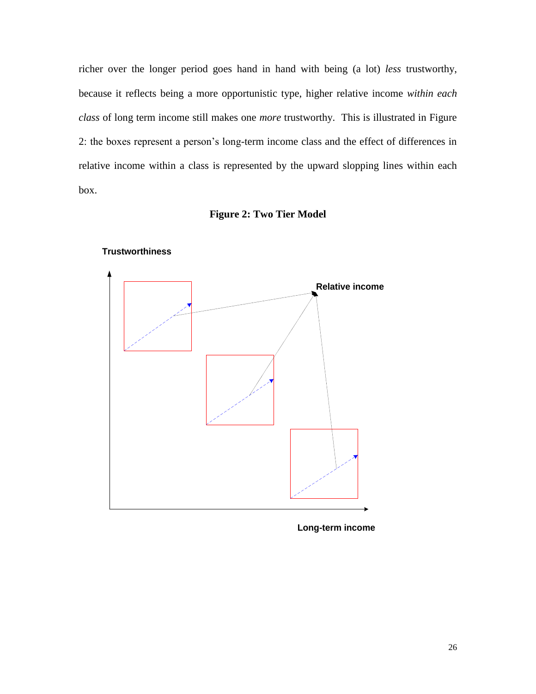richer over the longer period goes hand in hand with being (a lot) *less* trustworthy, because it reflects being a more opportunistic type, higher relative income *within each class* of long term income still makes one *more* trustworthy. This is illustrated in Figure 2: the boxes represent a person's long-term income class and the effect of differences in relative income within a class is represented by the upward slopping lines within each box.





**Trustworthiness**

**Long-term income**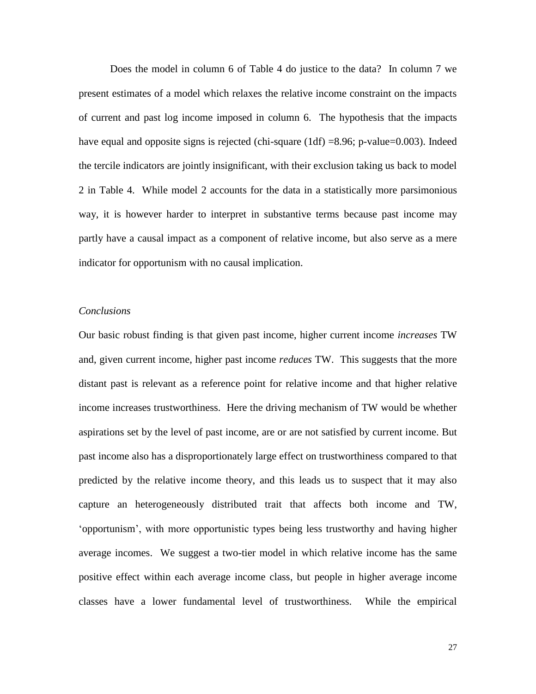Does the model in column 6 of Table 4 do justice to the data? In column 7 we present estimates of a model which relaxes the relative income constraint on the impacts of current and past log income imposed in column 6. The hypothesis that the impacts have equal and opposite signs is rejected (chi-square  $(1df) = 8.96$ ; p-value=0.003). Indeed the tercile indicators are jointly insignificant, with their exclusion taking us back to model 2 in Table 4. While model 2 accounts for the data in a statistically more parsimonious way, it is however harder to interpret in substantive terms because past income may partly have a causal impact as a component of relative income, but also serve as a mere indicator for opportunism with no causal implication.

#### *Conclusions*

Our basic robust finding is that given past income, higher current income *increases* TW and, given current income, higher past income *reduces* TW. This suggests that the more distant past is relevant as a reference point for relative income and that higher relative income increases trustworthiness. Here the driving mechanism of TW would be whether aspirations set by the level of past income, are or are not satisfied by current income. But past income also has a disproportionately large effect on trustworthiness compared to that predicted by the relative income theory, and this leads us to suspect that it may also capture an heterogeneously distributed trait that affects both income and TW, ‗opportunism', with more opportunistic types being less trustworthy and having higher average incomes. We suggest a two-tier model in which relative income has the same positive effect within each average income class, but people in higher average income classes have a lower fundamental level of trustworthiness. While the empirical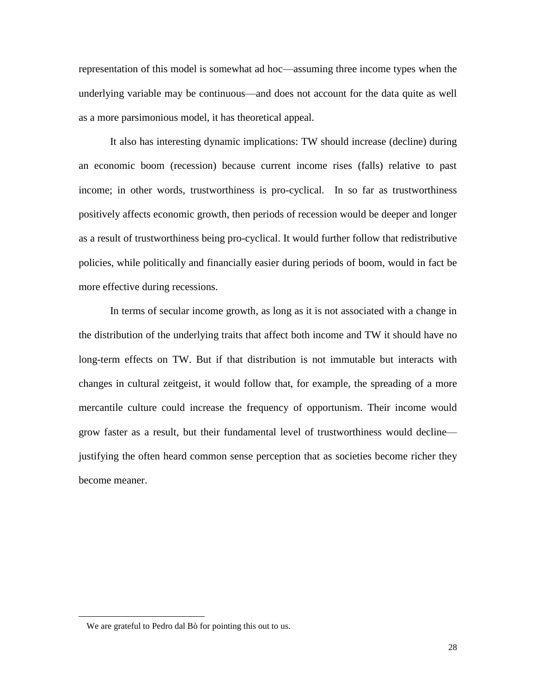representation of this model is somewhat ad hoc—assuming three income types when the underlying variable may be continuous—and does not account for the data quite as well as a more parsimonious model, it has theoretical appeal.

It also has interesting dynamic implications: TW should increase (decline) during an economic boom (recession) because current income rises (falls) relative to past income; in other words, trustworthiness is pro-cyclical. In so far as trustworthiness positively affects economic growth, then periods of recession would be deeper and longer as a result of trustworthiness being pro-cyclical. It would further follow that redistributive policies, while politically and financially easier during periods of boom, would in fact be more effective during recessions.

In terms of secular income growth, as long as it is not associated with a change in the distribution of the underlying traits that affect both income and TW it should have no long-term effects on TW. But if that distribution is not immutable but interacts with changes in cultural zeitgeist, it would follow that, for example, the spreading of a more mercantile culture could increase the frequency of opportunism. Their income would grow faster as a result, but their fundamental level of trustworthiness would decline justifying the often heard common sense perception that as societies become richer they become meaner.

We are grateful to Pedro dal Bò for pointing this out to us.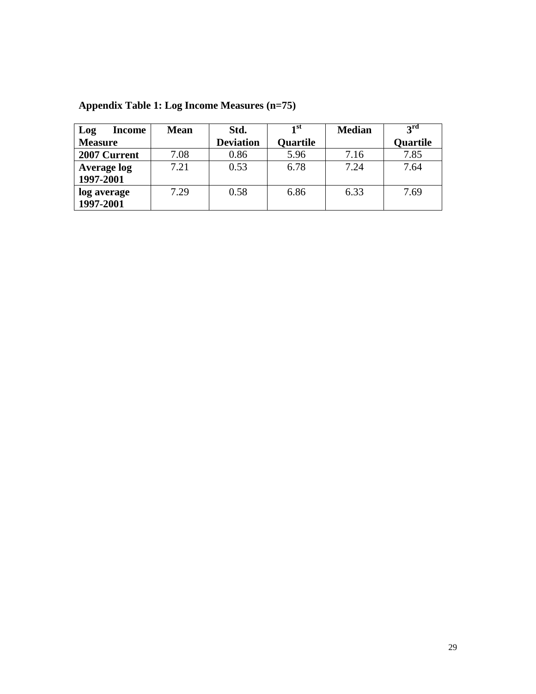| Log            | <b>Income</b>      | <b>Mean</b> | Std.             | 1 <sup>st</sup> | <b>Median</b> | $2^{\text{rd}}$ |
|----------------|--------------------|-------------|------------------|-----------------|---------------|-----------------|
| <b>Measure</b> |                    |             | <b>Deviation</b> | <b>Ouartile</b> |               | Quartile        |
|                | 2007 Current       | 7.08        | 0.86             | 5.96            | 7.16          | 7.85            |
|                | <b>Average log</b> | 7.21        | 0.53             | 6.78            | 7.24          | 7.64            |
| 1997-2001      |                    |             |                  |                 |               |                 |
| log average    |                    | 7.29        | 0.58             | 6.86            | 6.33          | 7.69            |
| 1997-2001      |                    |             |                  |                 |               |                 |

**Appendix Table 1: Log Income Measures (n=75)**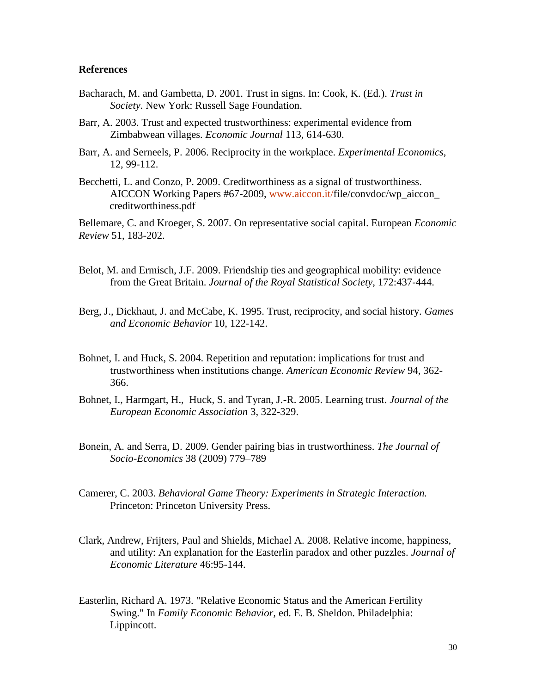# **References**

- Bacharach, M. and Gambetta, D. 2001. Trust in signs. In: Cook, K. (Ed.). *Trust in Society*. New York: Russell Sage Foundation.
- Barr, A. 2003. Trust and expected trustworthiness: experimental evidence from Zimbabwean villages. *Economic Journal* 113, 614-630.
- Barr, A. and Serneels, P. 2006. Reciprocity in the workplace. *Experimental Economics*, 12, 99-112.
- Becchetti, L. and Conzo, P. 2009. Creditworthiness as a signal of trustworthiness. AICCON Working Papers #67-2009, [www.aiccon.it/f](http://www.aiccon.it/)ile/convdoc/wp\_aiccon creditworthiness.pdf

Bellemare, C. and Kroeger, S. 2007. On representative social capital. European *Economic Review* 51, 183-202.

- Belot, M. and Ermisch, J.F. 2009. Friendship ties and geographical mobility: evidence from the Great Britain. *Journal of the Royal Statistical Society*, 172:437-444.
- Berg, J., Dickhaut, J. and McCabe, K. 1995. Trust, reciprocity, and social history. *Games and Economic Behavior* 10, 122-142.
- Bohnet, I. and Huck, S. 2004. Repetition and reputation: implications for trust and trustworthiness when institutions change. *American Economic Review* 94, 362- 366.
- Bohnet, I., Harmgart, H., Huck, S. and Tyran, J.-R. 2005. Learning trust. *Journal of the European Economic Association* 3, 322-329.
- Bonein, A. and Serra, D. 2009. Gender pairing bias in trustworthiness. *The Journal of Socio-Economics* 38 (2009) 779–789
- Camerer, C. 2003. *Behavioral Game Theory: Experiments in Strategic Interaction.* Princeton: Princeton University Press.
- Clark, Andrew, Frijters, Paul and Shields, Michael A. 2008. Relative income, happiness, and utility: An explanation for the Easterlin paradox and other puzzles. *Journal of Economic Literature* 46:95-144.
- Easterlin, Richard A. 1973. "Relative Economic Status and the American Fertility Swing." In *Family Economic Behavior,* ed. E. B. Sheldon. Philadelphia: Lippincott.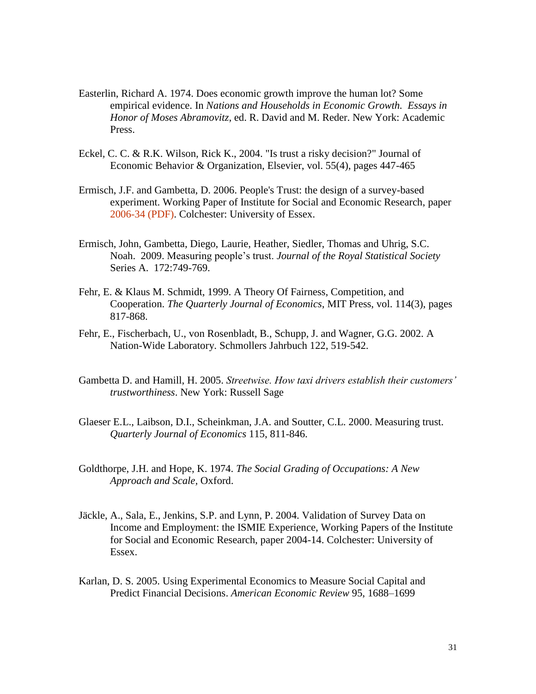- Easterlin, Richard A. 1974. Does economic growth improve the human lot? Some empirical evidence. In *Nations and Households in Economic Growth. Essays in Honor of Moses Abramovitz*, ed. R. David and M. Reder. New York: Academic Press.
- Eckel*,* C. C. & R.K. Wilson*,* Rick K., 2004. "Is trust a risky decision?" Journal of Economic Behavior & Organization, Elsevier, vol. 55(4), pages 447-465
- Ermisch, J.F. and Gambetta, D. 2006. People's Trust: the design of a survey-based experiment. Working Paper of Institute for Social and Economic Research, paper [2006-34 \(PDF\).](http://www.iser.essex.ac.uk/pubs/workpaps/pdf/2006-34.pdf) Colchester: University of Essex.
- Ermisch, John, Gambetta, Diego, Laurie, Heather, Siedler, Thomas and Uhrig, S.C. Noah. 2009. Measuring people's trust. *Journal of the Royal Statistical Society* Series A. 172:749-769.
- Fehr, E. & Klaus M. Schmidt, 1999. [A Theory Of Fairness, Competition, and](http://ideas.repec.org/a/tpr/qjecon/v114y1999i3p817-868.html)  [Cooperation.](http://ideas.repec.org/a/tpr/qjecon/v114y1999i3p817-868.html) *[The Quarterly Journal of Economics](http://ideas.repec.org/s/tpr/qjecon.html)*, MIT Press, vol. 114(3), pages 817-868.
- Fehr, E., Fischerbach, U., von Rosenbladt, B., Schupp, J. and Wagner, G.G. 2002. A Nation-Wide Laboratory. Schmollers Jahrbuch 122, 519-542.
- Gambetta D. and Hamill, H. 2005. *Streetwise. How taxi drivers establish their customers' trustworthiness*. New York: Russell Sage
- Glaeser E.L., Laibson, D.I., Scheinkman, J.A. and Soutter, C.L. 2000. Measuring trust. *Quarterly Journal of Economics* 115, 811-846.
- Goldthorpe, J.H. and Hope, K. 1974. *The Social Grading of Occupations: A New Approach and Scale,* Oxford.
- Jäckle, A., Sala, E., Jenkins, S.P. and Lynn, P. 2004. Validation of Survey Data on Income and Employment: the ISMIE Experience, Working Papers of the Institute for Social and Economic Research, paper 2004-14. Colchester: University of Essex.
- Karlan, D. S. 2005. Using Experimental Economics to Measure Social Capital and Predict Financial Decisions. *American Economic Review* 95, 1688–1699